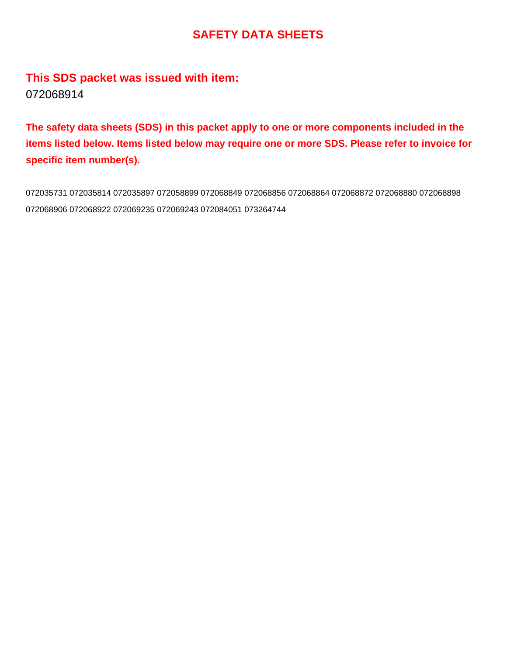### **SAFETY DATA SHEETS**

### **This SDS packet was issued with item:** 072068914

**The safety data sheets (SDS) in this packet apply to one or more components included in the items listed below. Items listed below may require one or more SDS. Please refer to invoice for specific item number(s).**

072035731 072035814 072035897 072058899 072068849 072068856 072068864 072068872 072068880 072068898 072068906 072068922 072069235 072069243 072084051 073264744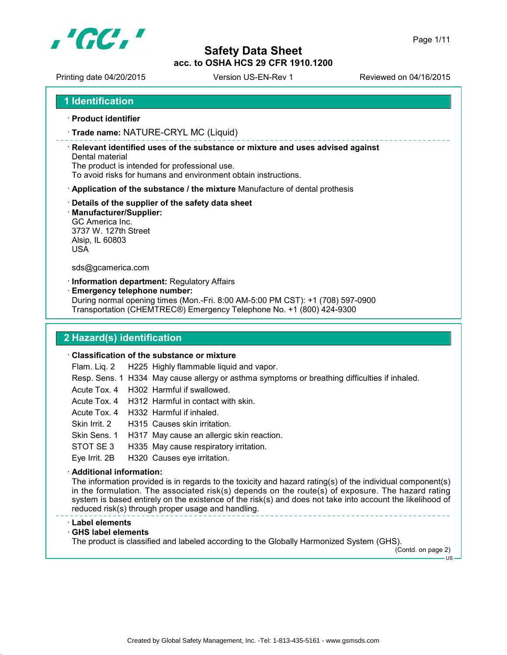

Printing date 04/20/2015 Version US-EN-Rev 1 Reviewed on 04/16/2015

- **Product identifier**
- **Trade name:** NATURE-CRYL MC (Liquid)

 **Relevant identified uses of the substance or mixture and uses advised against** Dental material

The product is intended for professional use.

To avoid risks for humans and environment obtain instructions.

- **Application of the substance / the mixture** Manufacture of dental prothesis
- **Details of the supplier of the safety data sheet**
- **Manufacturer/Supplier:**

GC America Inc. 3737 W. 127th Street Alsip, IL 60803 USA

sds@gcamerica.com

**Information department:** Regulatory Affairs

**Emergency telephone number:**

During normal opening times (Mon.-Fri. 8:00 AM-5:00 PM CST): +1 (708) 597-0900 Transportation (CHEMTREC®) Emergency Telephone No. +1 (800) 424-9300

#### **2 Hazard(s) identification**

#### **Classification of the substance or mixture**

Flam. Liq. 2 H225 Highly flammable liquid and vapor.

- Resp. Sens. 1 H334 May cause allergy or asthma symptoms or breathing difficulties if inhaled.
- Acute Tox. 4 H302 Harmful if swallowed.
- Acute Tox. 4 H312 Harmful in contact with skin.
- Acute Tox. 4 H332 Harmful if inhaled.
- Skin Irrit. 2 H315 Causes skin irritation.
- Skin Sens. 1 H317 May cause an allergic skin reaction.
- STOT SE 3 H335 May cause respiratory irritation.

Eye Irrit. 2B H320 Causes eye irritation.

#### **Additional information:**

The information provided is in regards to the toxicity and hazard rating(s) of the individual component(s) in the formulation. The associated risk(s) depends on the route(s) of exposure. The hazard rating system is based entirely on the existence of the risk(s) and does not take into account the likelihood of reduced risk(s) through proper usage and handling.

#### **Label elements**

**GHS label elements**

The product is classified and labeled according to the Globally Harmonized System (GHS).

(Contd. on page 2)  $-11S$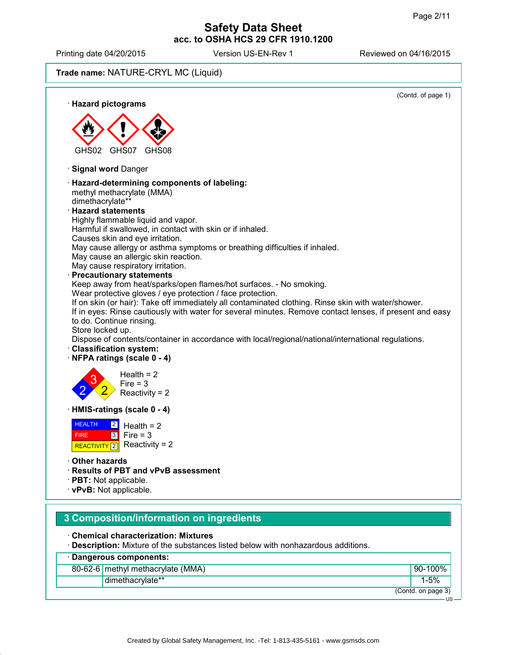US

#### **Safety Data Sheet acc. to OSHA HCS 29 CFR 1910.1200**

Printing date 04/20/2015 Version US-EN-Rev 1 Reviewed on 04/16/2015

**Trade name:** NATURE-CRYL MC (Liquid)

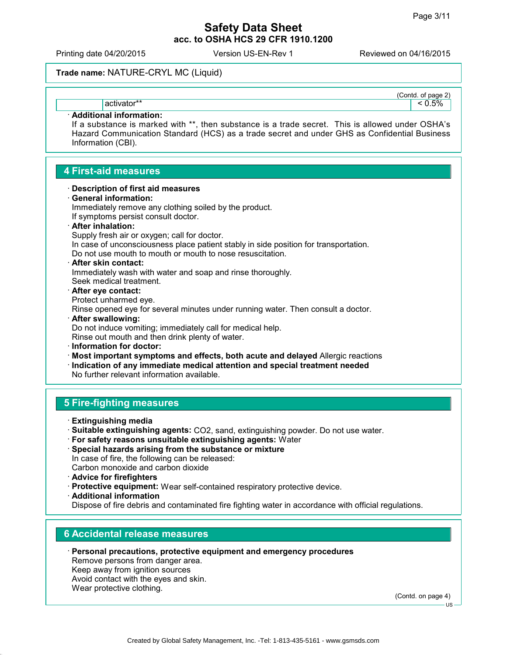(Contd. of page 2)

#### **Safety Data Sheet acc. to OSHA HCS 29 CFR 1910.1200**

Printing date 04/20/2015 Version US-EN-Rev 1 Reviewed on 04/16/2015

#### **Trade name:** NATURE-CRYL MC (Liquid)

activator\*\*  $|\!-\!0.5\% \!|$ 

#### **Additional information:**

If a substance is marked with \*\*, then substance is a trade secret. This is allowed under OSHA's Hazard Communication Standard (HCS) as a trade secret and under GHS as Confidential Business Information (CBI).

#### **4 First-aid measures**

#### **Description of first aid measures**

#### **General information:**

Immediately remove any clothing soiled by the product. If symptoms persist consult doctor. **After inhalation:** Supply fresh air or oxygen; call for doctor.

In case of unconsciousness place patient stably in side position for transportation.

Do not use mouth to mouth or mouth to nose resuscitation.

#### **After skin contact:** Immediately wash with water and soap and rinse thoroughly. Seek medical treatment.

 **After eye contact:** Protect unharmed eye.

Rinse opened eye for several minutes under running water. Then consult a doctor.

- **After swallowing:** Do not induce vomiting; immediately call for medical help. Rinse out mouth and then drink plenty of water.
- **Information for doctor:**
- **Most important symptoms and effects, both acute and delayed** Allergic reactions

**Indication of any immediate medical attention and special treatment needed**

No further relevant information available.

#### **5 Fire-fighting measures**

- **Extinguishing media**
- **Suitable extinguishing agents:** CO2, sand, extinguishing powder. Do not use water.
- **For safety reasons unsuitable extinguishing agents:** Water
- **Special hazards arising from the substance or mixture** In case of fire, the following can be released: Carbon monoxide and carbon dioxide
- **Advice for firefighters**
- **Protective equipment:** Wear self-contained respiratory protective device.
- **Additional information** Dispose of fire debris and contaminated fire fighting water in accordance with official regulations.

#### **6 Accidental release measures**

**Personal precautions, protective equipment and emergency procedures**

Remove persons from danger area. Keep away from ignition sources Avoid contact with the eyes and skin. Wear protective clothing.

(Contd. on page 4)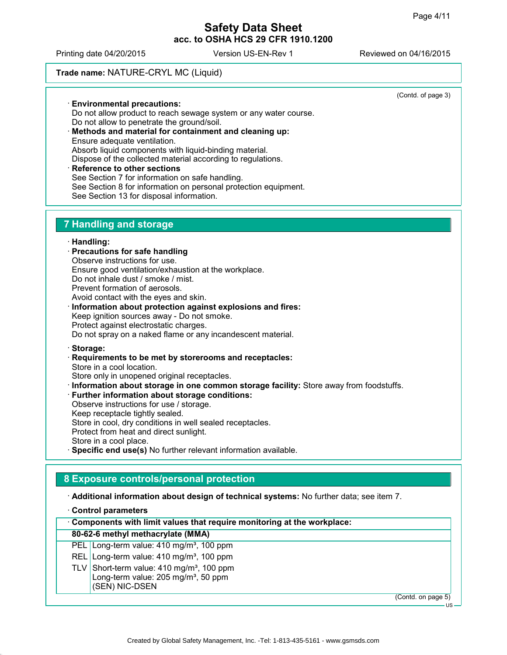Printing date 04/20/2015 Version US-EN-Rev 1 Reviewed on 04/16/2015

#### **Trade name:** NATURE-CRYL MC (Liquid)

(Contd. of page 3) **Environmental precautions:** Do not allow product to reach sewage system or any water course. Do not allow to penetrate the ground/soil. **Methods and material for containment and cleaning up:** Ensure adequate ventilation. Absorb liquid components with liquid-binding material. Dispose of the collected material according to regulations. **Reference to other sections** See Section 7 for information on safe handling. See Section 8 for information on personal protection equipment. See Section 13 for disposal information. **7 Handling and storage Handling: Precautions for safe handling** Observe instructions for use. Ensure good ventilation/exhaustion at the workplace. Do not inhale dust / smoke / mist. Prevent formation of aerosols. Avoid contact with the eyes and skin. **Information about protection against explosions and fires:** Keep ignition sources away - Do not smoke. Protect against electrostatic charges. Do not spray on a naked flame or any incandescent material. **Storage: Requirements to be met by storerooms and receptacles:** Store in a cool location. Store only in unopened original receptacles. **Information about storage in one common storage facility:** Store away from foodstuffs. **Further information about storage conditions:** Observe instructions for use / storage. Keep receptacle tightly sealed. Store in cool, dry conditions in well sealed receptacles. Protect from heat and direct sunlight. Store in a cool place. **Specific end use(s)** No further relevant information available. **8 Exposure controls/personal protection Additional information about design of technical systems:** No further data; see item 7. **Control parameters Components with limit values that require monitoring at the workplace: 80-62-6 methyl methacrylate (MMA)**

- PEL Long-term value: 410 mg/m<sup>3</sup>, 100 ppm
- REL Long-term value: 410 mg/m<sup>3</sup>, 100 ppm
- TLV Short-term value:  $410 \text{ ma/m}^3$ , 100 ppm Long-term value: 205 mg/m<sup>3</sup>, 50 ppm
	- (SEN) NIC-DSEN

(Contd. on page 5)

US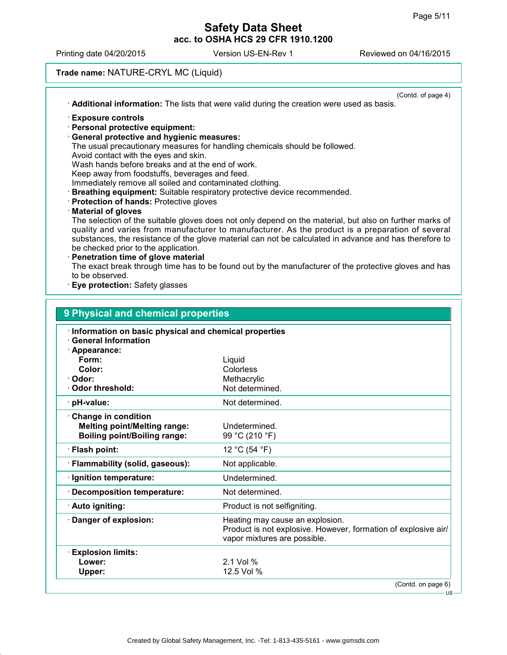US

#### **Safety Data Sheet acc. to OSHA HCS 29 CFR 1910.1200**

Printing date 04/20/2015 Version US-EN-Rev 1 Reviewed on 04/16/2015

#### **Trade name:** NATURE-CRYL MC (Liquid)

| Additional information: The lists that were valid during the creation were used as basis.               |
|---------------------------------------------------------------------------------------------------------|
| <b>Exposure controls</b>                                                                                |
| · Personal protective equipment:                                                                        |
| <b>General protective and hygienic measures:</b>                                                        |
| The usual precautionary measures for handling chemicals should be followed.                             |
| Avoid contact with the eyes and skin.                                                                   |
| Wash hands before breaks and at the end of work.                                                        |
| Keep away from foodstuffs, beverages and feed.                                                          |
| Immediately remove all soiled and contaminated clothing.                                                |
| <b>Breathing equipment:</b> Suitable respiratory protective device recommended.                         |
| <b>Protection of hands: Protective gloves</b>                                                           |
| <b>Material of gloves</b>                                                                               |
| The selection of the suitable gloves does not only depend on the material, but also on further marks of |
| quality and varies from manufacturer to manufacturer. As the product is a preparation of several        |
| substances, the resistance of the glove material can not be calculated in advance and has therefore to  |
| be checked prior to the application.                                                                    |
| Penetration time of glove material                                                                      |
| The exact break through time has to be found out by the manufacturer of the protective gloves and has   |
| to be observed.                                                                                         |
| Eye protection: Safety glasses                                                                          |
|                                                                                                         |

| J I HYSICAI ANU CHENNCAI PLOPERIES                                                                   |                                                                                                                                   |  |  |
|------------------------------------------------------------------------------------------------------|-----------------------------------------------------------------------------------------------------------------------------------|--|--|
| Information on basic physical and chemical properties<br><b>General Information</b><br>· Appearance: |                                                                                                                                   |  |  |
| Form:                                                                                                | Liquid                                                                                                                            |  |  |
| Color:                                                                                               | Colorless                                                                                                                         |  |  |
| · Odor:                                                                                              | Methacrylic                                                                                                                       |  |  |
| · Odor threshold:                                                                                    | Not determined.                                                                                                                   |  |  |
| · pH-value:                                                                                          | Not determined.                                                                                                                   |  |  |
| Change in condition                                                                                  |                                                                                                                                   |  |  |
| <b>Melting point/Melting range:</b>                                                                  | Undetermined.                                                                                                                     |  |  |
| <b>Boiling point/Boiling range:</b>                                                                  | 99 °C (210 °F)                                                                                                                    |  |  |
| · Flash point:                                                                                       | 12 °C (54 °F)                                                                                                                     |  |  |
| · Flammability (solid, gaseous):                                                                     | Not applicable.                                                                                                                   |  |  |
| · Ignition temperature:                                                                              | Undetermined.                                                                                                                     |  |  |
| <b>Decomposition temperature:</b>                                                                    | Not determined.                                                                                                                   |  |  |
| · Auto igniting:                                                                                     | Product is not selfigniting.                                                                                                      |  |  |
| Danger of explosion:                                                                                 | Heating may cause an explosion.<br>Product is not explosive. However, formation of explosive air/<br>vapor mixtures are possible. |  |  |
| <b>Explosion limits:</b>                                                                             |                                                                                                                                   |  |  |
| Lower:                                                                                               | 2.1 Vol %                                                                                                                         |  |  |
| Upper:                                                                                               | 12.5 Vol %                                                                                                                        |  |  |
|                                                                                                      | (Contd. on page 6)                                                                                                                |  |  |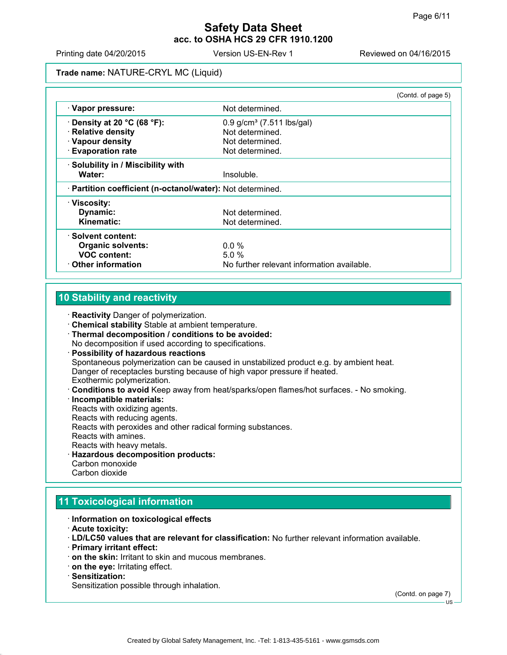Printing date 04/20/2015 Version US-EN-Rev 1 Reviewed on 04/16/2015

**Trade name:** NATURE-CRYL MC (Liquid)

|                                                            |                                            | (Contd. of page 5) |
|------------------------------------------------------------|--------------------------------------------|--------------------|
| · Vapor pressure:                                          | Not determined.                            |                    |
| $\cdot$ Density at 20 °C (68 °F):                          | $0.9$ g/cm <sup>3</sup> (7.511 lbs/gal)    |                    |
| · Relative density                                         | Not determined.                            |                    |
| · Vapour density                                           | Not determined.                            |                    |
| <b>Evaporation rate</b>                                    | Not determined.                            |                    |
| · Solubility in / Miscibility with                         |                                            |                    |
| Water:                                                     | Insoluble.                                 |                    |
| · Partition coefficient (n-octanol/water): Not determined. |                                            |                    |
| · Viscosity:                                               |                                            |                    |
| Dynamic:                                                   | Not determined.                            |                    |
| Kinematic:                                                 | Not determined.                            |                    |
| · Solvent content:                                         |                                            |                    |
| <b>Organic solvents:</b>                                   | $0.0 \%$                                   |                    |
| <b>VOC content:</b>                                        | 5.0%                                       |                    |
| <b>⋅ Other information</b>                                 | No further relevant information available. |                    |

#### **10 Stability and reactivity**

**Reactivity** Danger of polymerization.

- **Chemical stability** Stable at ambient temperature.
- **Thermal decomposition / conditions to be avoided:** No decomposition if used according to specifications.
- **Possibility of hazardous reactions** Spontaneous polymerization can be caused in unstabilized product e.g. by ambient heat. Danger of receptacles bursting because of high vapor pressure if heated. Exothermic polymerization.
- **Conditions to avoid** Keep away from heat/sparks/open flames/hot surfaces. No smoking.
- **Incompatible materials:** Reacts with oxidizing agents. Reacts with reducing agents. Reacts with peroxides and other radical forming substances. Reacts with amines. Reacts with heavy metals. **Hazardous decomposition products:**
- Carbon monoxide Carbon dioxide

#### **11 Toxicological information**

- **Information on toxicological effects**
- **Acute toxicity:**
- **LD/LC50 values that are relevant for classification:** No further relevant information available.
- **Primary irritant effect:**
- **on the skin:** Irritant to skin and mucous membranes.
- **on the eye:** Irritating effect.

#### **Sensitization:**

Sensitization possible through inhalation.

(Contd. on page 7)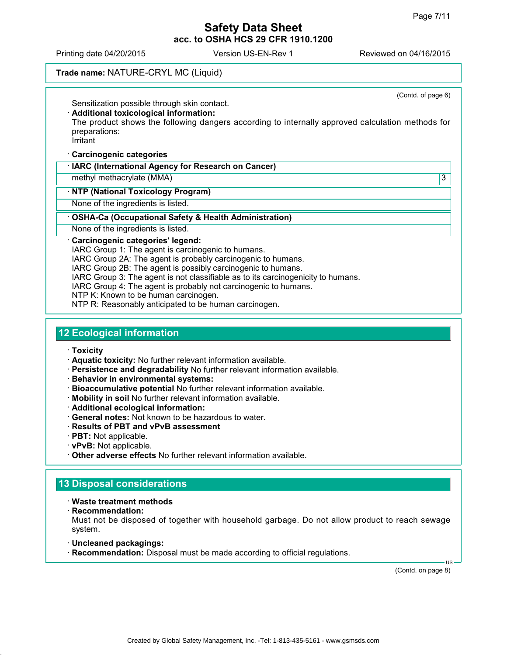Printing date 04/20/2015 Version US-EN-Rev 1 Reviewed on 04/16/2015

#### **Trade name:** NATURE-CRYL MC (Liquid)

(Contd. of page 6) Sensitization possible through skin contact. **Additional toxicological information:** The product shows the following dangers according to internally approved calculation methods for preparations: **Irritant Carcinogenic categories IARC (International Agency for Research on Cancer)** methyl methacrylate (MMA) 33 **NTP (National Toxicology Program)** None of the ingredients is listed. **OSHA-Ca (Occupational Safety & Health Administration)** None of the ingredients is listed. **Carcinogenic categories' legend:** IARC Group 1: The agent is carcinogenic to humans. IARC Group 2A: The agent is probably carcinogenic to humans. IARC Group 2B: The agent is possibly carcinogenic to humans.

IARC Group 3: The agent is not classifiable as to its carcinogenicity to humans.

IARC Group 4: The agent is probably not carcinogenic to humans.

NTP K: Known to be human carcinogen.

NTP R: Reasonably anticipated to be human carcinogen.

#### **12 Ecological information**

**Toxicity**

**Aquatic toxicity:** No further relevant information available.

- **Persistence and degradability** No further relevant information available.
- **Behavior in environmental systems:**
- **Bioaccumulative potential** No further relevant information available.
- **Mobility in soil** No further relevant information available.
- **Additional ecological information:**
- **General notes:** Not known to be hazardous to water.
- **Results of PBT and vPvB assessment**
- **PBT:** Not applicable.
- **vPvB:** Not applicable.
- **Other adverse effects** No further relevant information available.

#### **13 Disposal considerations**

#### **Waste treatment methods**

**Recommendation:**

Must not be disposed of together with household garbage. Do not allow product to reach sewage system.

- **Uncleaned packagings:**
- **Recommendation:** Disposal must be made according to official regulations.

(Contd. on page 8)

US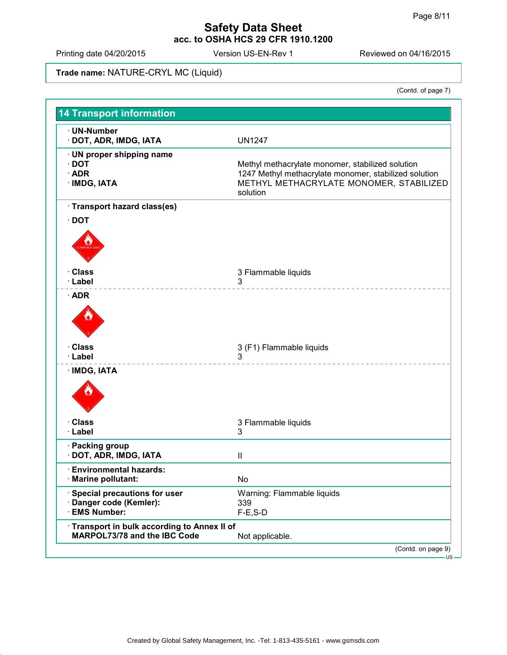Printing date 04/20/2015 Version US-EN-Rev 1 Reviewed on 04/16/2015

#### **Trade name:** NATURE-CRYL MC (Liquid)

(Contd. of page 7)

| · UN-Number<br>· DOT, ADR, IMDG, IATA                                        | <b>UN1247</b>                                                                                                                                                    |
|------------------------------------------------------------------------------|------------------------------------------------------------------------------------------------------------------------------------------------------------------|
| · UN proper shipping name<br>$\cdot$ DOT<br>$\cdot$ ADR<br>· IMDG, IATA      | Methyl methacrylate monomer, stabilized solution<br>1247 Methyl methacrylate monomer, stabilized solution<br>METHYL METHACRYLATE MONOMER, STABILIZED<br>solution |
| · Transport hazard class(es)                                                 |                                                                                                                                                                  |
| $\cdot$ DOT                                                                  |                                                                                                                                                                  |
| · Class<br>· Label                                                           | 3 Flammable liquids<br>3                                                                                                                                         |
| $\cdot$ ADR                                                                  |                                                                                                                                                                  |
|                                                                              |                                                                                                                                                                  |
| · Class<br>· Label                                                           | 3 (F1) Flammable liquids<br>3                                                                                                                                    |
| · IMDG, IATA                                                                 |                                                                                                                                                                  |
| · Class<br>· Label                                                           | 3 Flammable liquids<br>3                                                                                                                                         |
| · Packing group<br>DOT, ADR, IMDG, IATA                                      | $\mathbf{I}$                                                                                                                                                     |
| · Environmental hazards:<br>· Marine pollutant:                              | No                                                                                                                                                               |
| · Special precautions for user<br>· Danger code (Kemler):<br>· EMS Number:   | Warning: Flammable liquids<br>339<br>$F-E$ , S-D                                                                                                                 |
| · Transport in bulk according to Annex II of<br>MARPOL73/78 and the IBC Code | Not applicable.                                                                                                                                                  |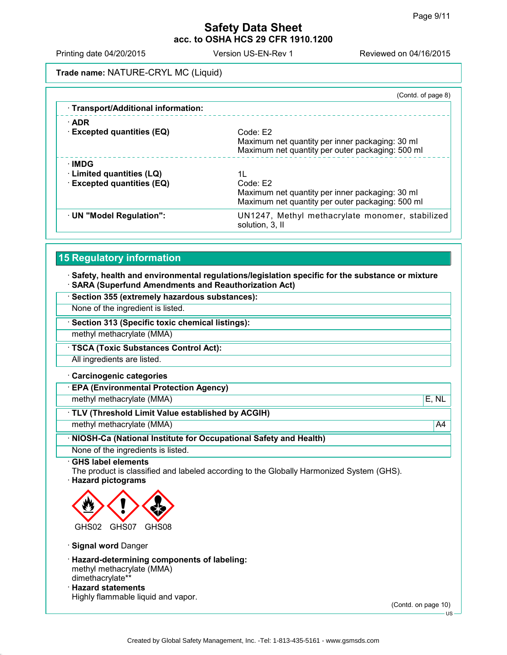Printing date 04/20/2015 Version US-EN-Rev 1 Reviewed on 04/16/2015

**Trade name:** NATURE-CRYL MC (Liquid)

| (Contd. of page 8)                                                                                              |
|-----------------------------------------------------------------------------------------------------------------|
|                                                                                                                 |
| Code: E2                                                                                                        |
| Maximum net quantity per inner packaging: 30 ml<br>Maximum net quantity per outer packaging: 500 ml             |
|                                                                                                                 |
| 1L                                                                                                              |
| Code: E2<br>Maximum net quantity per inner packaging: 30 ml<br>Maximum net quantity per outer packaging: 500 ml |
| UN1247, Methyl methacrylate monomer, stabilized<br>solution, 3, II                                              |
|                                                                                                                 |

#### **15 Regulatory information**

 **Safety, health and environmental regulations/legislation specific for the substance or mixture SARA (Superfund Amendments and Reauthorization Act)**

**Section 355 (extremely hazardous substances):**

None of the ingredient is listed.

**Section 313 (Specific toxic chemical listings):**

methyl methacrylate (MMA)

**TSCA (Toxic Substances Control Act):**

All ingredients are listed.

**Carcinogenic categories**

**EPA (Environmental Protection Agency)**

methyl methacrylate (MMA) E, NL

**TLV (Threshold Limit Value established by ACGIH)**

methyl methacrylate (MMA) and the contract of the contract of the contract of the contract of the contract of the contract of the contract of the contract of the contract of the contract of the contract of the contract of

**NIOSH-Ca (National Institute for Occupational Safety and Health)**

None of the ingredients is listed.

#### **GHS label elements**

The product is classified and labeled according to the Globally Harmonized System (GHS). **Hazard pictograms**



**Signal word** Danger

- **Hazard-determining components of labeling:** methyl methacrylate (MMA) dimethacrylate\*\*
- **Hazard statements** Highly flammable liquid and vapor.

(Contd. on page 10)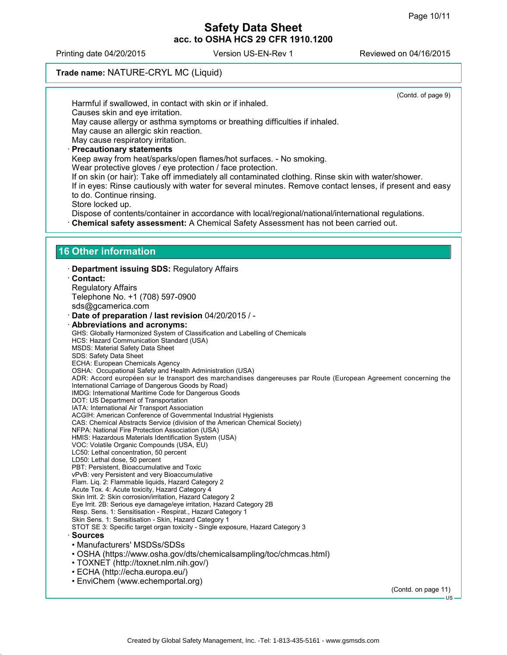(Contd. of page 9)

#### **Safety Data Sheet acc. to OSHA HCS 29 CFR 1910.1200**

Printing date 04/20/2015 Version US-EN-Rev 1 Reviewed on 04/16/2015

#### **Trade name:** NATURE-CRYL MC (Liquid)

Harmful if swallowed, in contact with skin or if inhaled. Causes skin and eye irritation. May cause allergy or asthma symptoms or breathing difficulties if inhaled. May cause an allergic skin reaction. May cause respiratory irritation. **Precautionary statements** Keep away from heat/sparks/open flames/hot surfaces. - No smoking. Wear protective gloves / eye protection / face protection. If on skin (or hair): Take off immediately all contaminated clothing. Rinse skin with water/shower. If in eyes: Rinse cautiously with water for several minutes. Remove contact lenses, if present and easy to do. Continue rinsing. Store locked up. Dispose of contents/container in accordance with local/regional/national/international regulations. **Chemical safety assessment:** A Chemical Safety Assessment has not been carried out. **16 Other information Department issuing SDS:** Regulatory Affairs **Contact:** Regulatory Affairs Telephone No. +1 (708) 597-0900 sds@gcamerica.com **Date of preparation / last revision** 04/20/2015 / - **Abbreviations and acronyms:** GHS: Globally Harmonized System of Classification and Labelling of Chemicals HCS: Hazard Communication Standard (USA) MSDS: Material Safety Data Sheet SDS: Safety Data Sheet ECHA: European Chemicals Agency OSHA: Occupational Safety and Health Administration (USA) ADR: Accord européen sur le transport des marchandises dangereuses par Route (European Agreement concerning the International Carriage of Dangerous Goods by Road) IMDG: International Maritime Code for Dangerous Goods DOT: US Department of Transportation IATA: International Air Transport Association ACGIH: American Conference of Governmental Industrial Hygienists CAS: Chemical Abstracts Service (division of the American Chemical Society) NFPA: National Fire Protection Association (USA) HMIS: Hazardous Materials Identification System (USA) VOC: Volatile Organic Compounds (USA, EU) LC50: Lethal concentration, 50 percent LD50: Lethal dose, 50 percent PBT: Persistent, Bioaccumulative and Toxic vPvB: very Persistent and very Bioaccumulative Flam. Liq. 2: Flammable liquids, Hazard Category 2 Acute Tox. 4: Acute toxicity, Hazard Category 4 Skin Irrit. 2: Skin corrosion/irritation, Hazard Category 2 Eye Irrit. 2B: Serious eye damage/eye irritation, Hazard Category 2B Resp. Sens. 1: Sensitisation - Respirat., Hazard Category 1 Skin Sens. 1: Sensitisation - Skin, Hazard Category 1 STOT SE 3: Specific target organ toxicity - Single exposure, Hazard Category 3 **Sources** • Manufacturers' MSDSs/SDSs • OSHA (https://www.osha.gov/dts/chemicalsampling/toc/chmcas.html) • TOXNET (http://toxnet.nlm.nih.gov/) • ECHA (http://echa.europa.eu/) • EnviChem (www.echemportal.org) (Contd. on page 11) US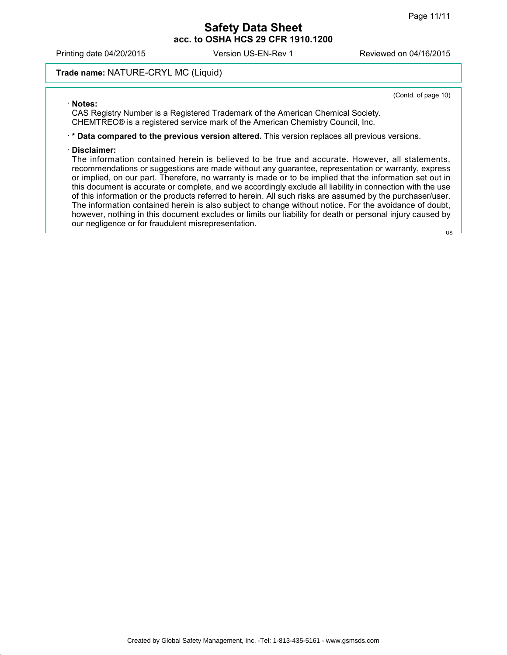Printing date 04/20/2015 Version US-EN-Rev 1 Reviewed on 04/16/2015

#### **Trade name:** NATURE-CRYL MC (Liquid)

(Contd. of page 10)

US

#### **Notes:**

CAS Registry Number is a Registered Trademark of the American Chemical Society. CHEMTREC® is a registered service mark of the American Chemistry Council, Inc.

**\* Data compared to the previous version altered.** This version replaces all previous versions.

#### **Disclaimer:**

The information contained herein is believed to be true and accurate. However, all statements, recommendations or suggestions are made without any guarantee, representation or warranty, express or implied, on our part. Therefore, no warranty is made or to be implied that the information set out in this document is accurate or complete, and we accordingly exclude all liability in connection with the use of this information or the products referred to herein. All such risks are assumed by the purchaser/user. The information contained herein is also subject to change without notice. For the avoidance of doubt, however, nothing in this document excludes or limits our liability for death or personal injury caused by our negligence or for fraudulent misrepresentation.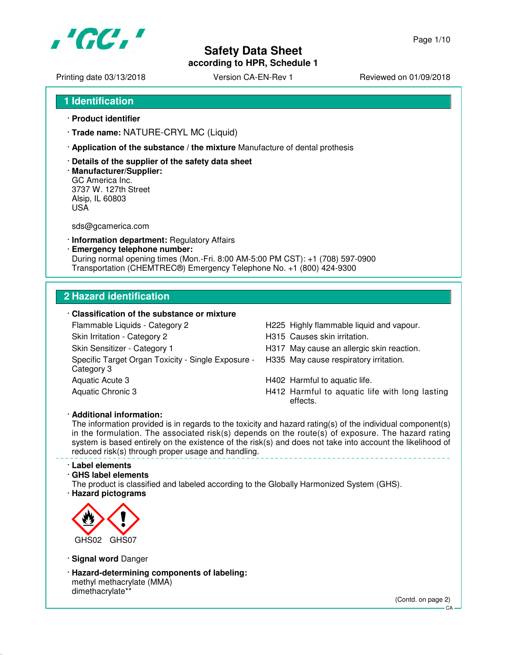

Printing date 03/13/2018 <br>
Version CA-EN-Rev 1 Reviewed on 01/09/2018

- **1 Identification**
- · **Product identifier**
- · **Trade name:** NATURE-CRYL MC (Liquid)
- · **Application of the substance / the mixture** Manufacture of dental prothesis
- · **Details of the supplier of the safety data sheet**
- · **Manufacturer/Supplier:** GC America Inc. 3737 W. 127th Street Alsip, IL 60803 USA

sds@gcamerica.com

- · **Information department:** Regulatory Affairs
- · **Emergency telephone number:** During normal opening times (Mon.-Fri. 8:00 AM-5:00 PM CST): +1 (708) 597-0900 Transportation (CHEMTREC®) Emergency Telephone No. +1 (800) 424-9300

#### **2 Hazard identification**

#### · **Classification of the substance or mixture**

Flammable Liquids - Category 2 H225 Highly flammable liquid and vapour. Skin Irritation - Category 2 **H315** Causes skin irritation. Skin Sensitizer - Category 1 **H317** May cause an allergic skin reaction. Specific Target Organ Toxicity - Single Exposure - Category 3 Aquatic Acute 3 **H402** Harmful to aquatic life.

- 
- 
- 
- H335 May cause respiratory irritation.
- 
- Aquatic Chronic 3 **H412 Harmful to aquatic life with long lasting** effects.

#### · **Additional information:**

The information provided is in regards to the toxicity and hazard rating(s) of the individual component(s) in the formulation. The associated risk(s) depends on the route(s) of exposure. The hazard rating system is based entirely on the existence of the risk(s) and does not take into account the likelihood of reduced risk(s) through proper usage and handling.

#### · **Label elements**

#### · **GHS label elements**

The product is classified and labeled according to the Globally Harmonized System (GHS). · **Hazard pictograms**



· **Signal word** Danger

· **Hazard-determining components of labeling:** methyl methacrylate (MMA) dimethacrylate\*\*

(Contd. on page 2)

 $CA$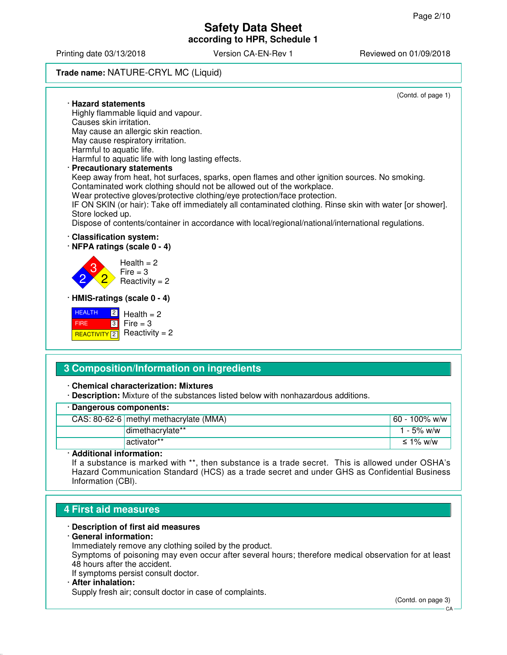Printing date 03/13/2018 Version CA-EN-Rev 1 Reviewed on 01/09/2018

#### **Trade name:** NATURE-CRYL MC (Liquid)

(Contd. of page 1)



#### **3 Composition/Information on ingredients**

· **Chemical characterization: Mixtures**

· **Description:** Mixture of the substances listed below with nonhazardous additions.

| · Dangerous components: |                                        |               |  |
|-------------------------|----------------------------------------|---------------|--|
|                         | CAS: 80-62-6 methyl methacrylate (MMA) | 60 - 100% w/w |  |
|                         | dimethacrylate**                       | 1 - 5% w/w    |  |
|                         | activator**                            | ≤ 1% w/w      |  |
| - - -- -                |                                        |               |  |

#### · **Additional information:**

If a substance is marked with \*\*, then substance is a trade secret. This is allowed under OSHA's Hazard Communication Standard (HCS) as a trade secret and under GHS as Confidential Business Information (CBI).

#### **4 First aid measures**

#### · **Description of first aid measures**

#### · **General information:**

Immediately remove any clothing soiled by the product.

Symptoms of poisoning may even occur after several hours; therefore medical observation for at least 48 hours after the accident.

If symptoms persist consult doctor.

#### · **After inhalation:**

Supply fresh air; consult doctor in case of complaints.

(Contd. on page 3)

 $\cap$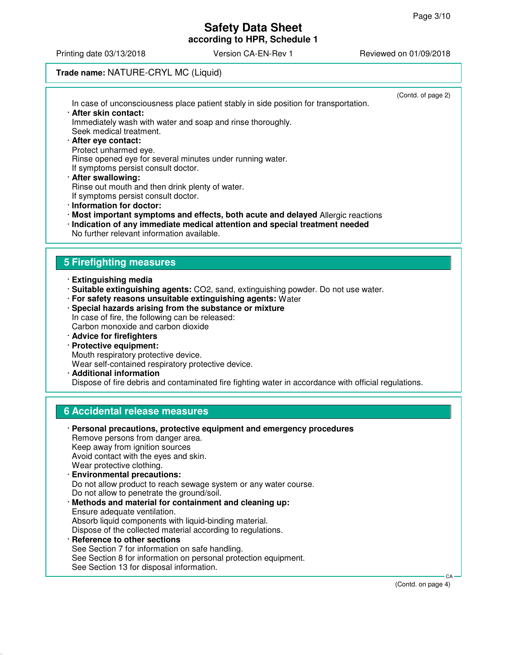Printing date 03/13/2018 Version CA-EN-Rev 1 Reviewed on 01/09/2018

#### **Trade name:** NATURE-CRYL MC (Liquid)

| In case of unconsciousness place patient stably in side position for transportation.<br>· After skin contact:<br>Immediately wash with water and soap and rinse thoroughly.<br>Seek medical treatment.<br>· After eye contact:<br>Protect unharmed eye.<br>Rinse opened eye for several minutes under running water.<br>If symptoms persist consult doctor.<br>· After swallowing:<br>Rinse out mouth and then drink plenty of water.<br>If symptoms persist consult doctor.<br>· Information for doctor:<br>· Most important symptoms and effects, both acute and delayed Allergic reactions<br>· Indication of any immediate medical attention and special treatment needed<br>No further relevant information available. | (Contd. of page 2) |
|-----------------------------------------------------------------------------------------------------------------------------------------------------------------------------------------------------------------------------------------------------------------------------------------------------------------------------------------------------------------------------------------------------------------------------------------------------------------------------------------------------------------------------------------------------------------------------------------------------------------------------------------------------------------------------------------------------------------------------|--------------------|
|                                                                                                                                                                                                                                                                                                                                                                                                                                                                                                                                                                                                                                                                                                                             |                    |
| <b>5 Firefighting measures</b>                                                                                                                                                                                                                                                                                                                                                                                                                                                                                                                                                                                                                                                                                              |                    |
| · Extinguishing media<br>· Suitable extinguishing agents: CO2, sand, extinguishing powder. Do not use water.<br>· For safety reasons unsuitable extinguishing agents: Water<br>· Special hazards arising from the substance or mixture<br>In case of fire, the following can be released:<br>Carbon monoxide and carbon dioxide<br>· Advice for firefighters<br>· Protective equipment:<br>Mouth respiratory protective device.<br>Wear self-contained respiratory protective device.<br>· Additional information<br>Dispose of fire debris and contaminated fire fighting water in accordance with official regulations.                                                                                                   |                    |
| <b>6 Accidental release measures</b>                                                                                                                                                                                                                                                                                                                                                                                                                                                                                                                                                                                                                                                                                        |                    |
| · Personal precautions, protective equipment and emergency procedures<br>Remove persons from danger area.<br>Keep away from ignition sources<br>Avoid contact with the eyes and skin.<br>Wear protective clothing.<br><b>Environmental precautions:</b><br>Do not allow product to reach sewage system or any water course.<br>Do not allow to penetrate the ground/soil.<br>· Methods and material for containment and cleaning up:<br>Ensure adequate ventilation.<br>Absorb liquid components with liquid-binding material.<br>Dispose of the collected material according to regulations.                                                                                                                               |                    |

· **Reference to other sections** See Section 7 for information on safe handling. See Section 8 for information on personal protection equipment. See Section 13 for disposal information.

(Contd. on page 4)

CA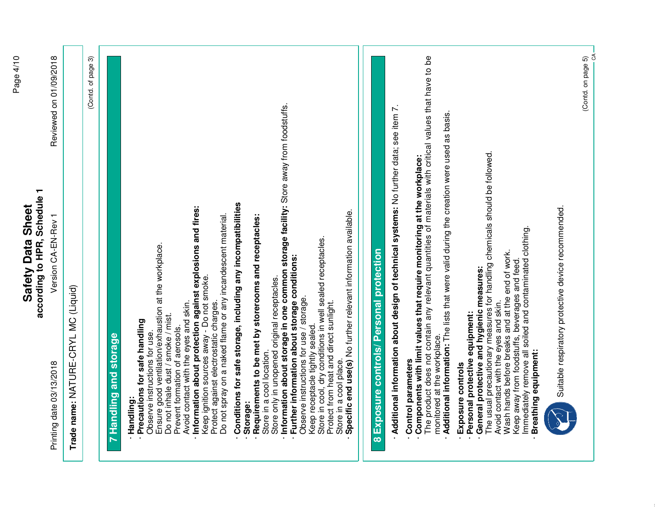# **Safety Data Sheet**<br>according to HPR, Schedule 1 **according to HPR, Schedule 1 Safety Data Sheet** Version CA-EN-Rev 1

Printing date 03/13/2018 Reviewed on 01/09/2018 Version CA-EN-Rev 1 Printing date 03/13/2018

Reviewed on 01/09/2018

| $\overline{\phantom{0}}$ |
|--------------------------|
|                          |
| č<br>;<br>י<br>.<br>.    |
| l<br>!<br>!<br>Į         |
|                          |
|                          |
|                          |
|                          |
|                          |

| Trade name: NATURE-CRYL MC (Liquid)                                                                                                                                                                                                                                                                                                                                                                                                                                                                                                                                                                                                                                                                                                                                                                                                                                                                                                                                                                                                                                                                                   |
|-----------------------------------------------------------------------------------------------------------------------------------------------------------------------------------------------------------------------------------------------------------------------------------------------------------------------------------------------------------------------------------------------------------------------------------------------------------------------------------------------------------------------------------------------------------------------------------------------------------------------------------------------------------------------------------------------------------------------------------------------------------------------------------------------------------------------------------------------------------------------------------------------------------------------------------------------------------------------------------------------------------------------------------------------------------------------------------------------------------------------|
| ၐ<br>(Contd. of page                                                                                                                                                                                                                                                                                                                                                                                                                                                                                                                                                                                                                                                                                                                                                                                                                                                                                                                                                                                                                                                                                                  |
| 7 Handling and storage                                                                                                                                                                                                                                                                                                                                                                                                                                                                                                                                                                                                                                                                                                                                                                                                                                                                                                                                                                                                                                                                                                |
| Information about storage in one common storage facility: Store away from foodstuffs.<br>Conditions for safe storage, including any incompatibilities<br>Information about protection against explosions and fires:<br>Specific end use(s) No further relevant information available.<br>Do not spray on a naked flame or any incandescent material.<br>Requirements to be met by storerooms and receptacles:<br>Store in cool, dry conditions in well sealed receptacles.<br>Ensure good ventilation/exhaustion at the workplace.<br>Further information about storage conditions:<br>Keep ignition sources away - Do not smoke.<br>Store only in unopened original receptacles.<br>Observe instructions for use / storage.<br>Avoid contact with the eyes and skin.<br>Protect against electrostatic charges.<br>Protect from heat and direct sunlight.<br>Do not inhale dust / smoke / mist.<br>Precautions for safe handling<br>Keep receptacle tightly sealed.<br>Prevent formation of aerosols.<br>Observe instructions for use.<br>Store in a cool location.<br>Store in a cool place<br>Handling:<br>Storage: |
| Exposure controls/ Personal protection<br>$\infty$                                                                                                                                                                                                                                                                                                                                                                                                                                                                                                                                                                                                                                                                                                                                                                                                                                                                                                                                                                                                                                                                    |
| The product does not contain any relevant quantities of materials with critical values that have to be<br>Additional information about design of technical systems: No further data; see item 7.<br>Additional information: The lists that were valid during the creation were used as basis.<br>The usual precautionary measures for handling chemicals should be followed.<br>Components with limit values that require monitoring at the workplace:<br>Immediately remove all soiled and contaminated clothing.<br>Wash hands before breaks and at the end of work.<br>Keep away from foodstuffs, beverages and feed<br>General protective and hygienic measures:<br>Avoid contact with the eyes and skin.<br>Personal protective equipment:<br>monitored at the workplace.<br>Control parameters<br>Exposure controls                                                                                                                                                                                                                                                                                             |
| Breathing equipment:                                                                                                                                                                                                                                                                                                                                                                                                                                                                                                                                                                                                                                                                                                                                                                                                                                                                                                                                                                                                                                                                                                  |



Suitable respiratory protective device recommended. Suitable respiratory protective device recommended.

(Contd. on page 5)  $(Contd. on page 5)$ <br> $CA$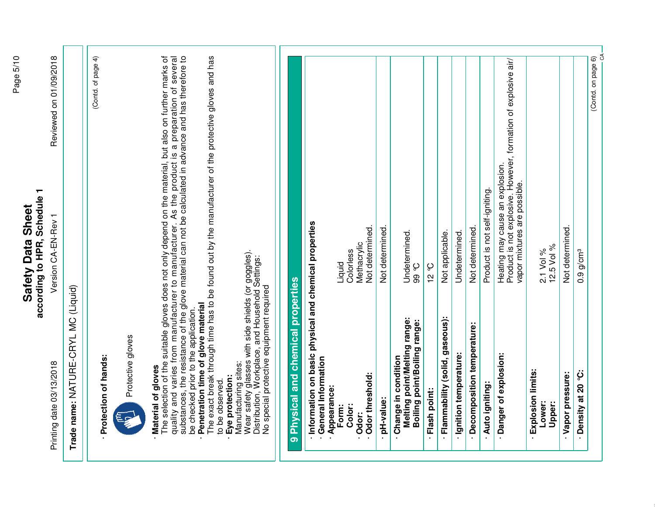# according to HPR, Schedule 1 **according to HPR, Schedule 1 Safety Data Sheet Safety Data Sheet**

Version CA-EN-Rev 1

Printing date 03/13/2018 Reviewed on 01/09/2018 Version CA-EN-Rev 1 Printing date 03/13/2018

Reviewed on 01/09/2018

(Contd. of page 4)

(Contd. of page 4)

Trade name: NATURE-CRYL MC (Liquid) **Trade name:** NATURE-CRYL MC (Liquid)

- Protection of hands: · **Protection of hands:**



Protective gloves Protective gloves

# · **Material of gloves**

The selection of the suitable gloves does not only depend on the material, but also on further marks of quality and varies from manufacturer to manufacturer. As the product is a preparation of several substances, the resistance of the glove material can not be calculated in advance and has therefore to be checked prior to the application. **Protective gloves**<br> **Material of gloves**<br>
The selection of the suitable gloves does not only depend on the material, but also on further marks of<br>
quality and varies from manufacturer to manufacturer. As the product is a

Penetration time of glove material · **Penetration time of glove material**

The exact break through time has to be found out by the manufacturer of the protective gloves and has The exact break through time has to be found out by the manufacturer of the protective gloves and has to be observed. to be observed

- Eye protection: · **Eye protection:**
- Manufacturing sites: Manufacturing sites:
- Wear safety glasses with side shields (or goggles).<br>Distribution, Workplace, and Household Settings:<br>No special protective equipment required Wear safety glasses with side shields (or goggles).
	- Distribution, Workplace, and Household Settings: No special protective equipment required

# 9 Physical and chemical properties **9 Physical and chemical properties**

- Information on basic physical and chemical properties · **Information on basic physical and chemical properties**
	- **General Information** · **General Information**
		- -

| Odor threshold:<br>: Jopo.                                                          | Not determined.<br>Methacrviic                                                                                                    |
|-------------------------------------------------------------------------------------|-----------------------------------------------------------------------------------------------------------------------------------|
| : pH-value:                                                                         | Not determined.                                                                                                                   |
| Melting point/Melting range:<br>Boiling point/Boiling range:<br>Change in condition | Undetermined.<br>ပ္ပစ္ပ                                                                                                           |
| - Flash point:                                                                      | ე<br>2<br>12                                                                                                                      |
| · Flammability (solid, gaseous):                                                    | Not applicable.                                                                                                                   |
| Ignition temperature:                                                               | Undetermined.                                                                                                                     |
| - Decomposition temperature:                                                        | Not determined.                                                                                                                   |
| Auto igniting:                                                                      | Product is not self-igniting.                                                                                                     |
| Danger of explosion:                                                                | Product is not explosive. However, formation of explosive air/<br>Heating may cause an explosion.<br>vapor mixtures are possible. |
| Explosion limits:<br>Lower:<br>Upper:                                               | 12.5 Vol %<br>2.1 Vol %                                                                                                           |
| Vapor pressure:                                                                     | Not determined.                                                                                                                   |
| Density at 20 °C:                                                                   | $0.9$ g/cm $^3$                                                                                                                   |

(Contd. on page 6)

(Contd. on page 6)

 $\delta$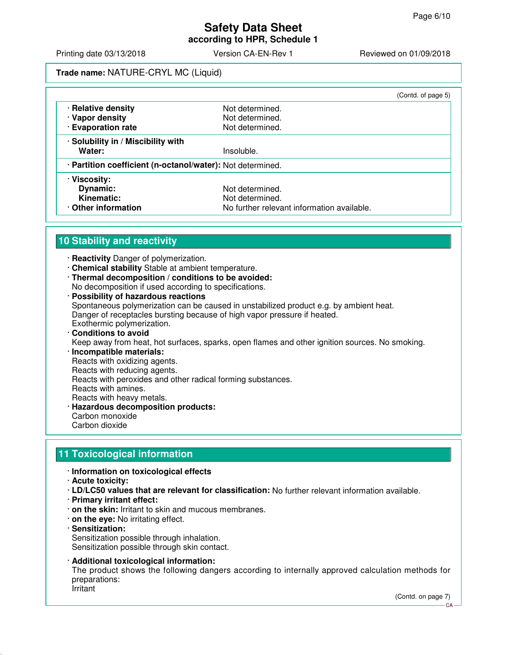Printing date 03/13/2018 **Version CA-EN-Rev 1** Reviewed on 01/09/2018

**Trade name:** NATURE-CRYL MC (Liquid)

|                                                            |                                            | (Contd. of page 5) |  |
|------------------------------------------------------------|--------------------------------------------|--------------------|--|
| · Relative density                                         | Not determined.                            |                    |  |
| · Vapor density                                            | Not determined.                            |                    |  |
| · Evaporation rate                                         | Not determined.                            |                    |  |
| · Solubility in / Miscibility with                         |                                            |                    |  |
| Water:                                                     | Insoluble.                                 |                    |  |
| · Partition coefficient (n-octanol/water): Not determined. |                                            |                    |  |
| · Viscosity:                                               |                                            |                    |  |
| Dynamic:                                                   | Not determined.                            |                    |  |
| Kinematic:                                                 | Not determined.                            |                    |  |
| Other information                                          | No further relevant information available. |                    |  |

#### **10 Stability and reactivity**

- · **Reactivity** Danger of polymerization.
- · **Chemical stability** Stable at ambient temperature.
- · **Thermal decomposition / conditions to be avoided:** No decomposition if used according to specifications.
- · **Possibility of hazardous reactions** Spontaneous polymerization can be caused in unstabilized product e.g. by ambient heat. Danger of receptacles bursting because of high vapor pressure if heated. Exothermic polymerization.

#### · **Conditions to avoid** Keep away from heat, hot surfaces, sparks, open flames and other ignition sources. No smoking.

- · **Incompatible materials:** Reacts with oxidizing agents. Reacts with reducing agents. Reacts with peroxides and other radical forming substances. Reacts with amines. Reacts with heavy metals.
- · **Hazardous decomposition products:** Carbon monoxide Carbon dioxide

#### **11 Toxicological information**

- · **Information on toxicological effects**
- · **Acute toxicity:**
- · **LD/LC50 values that are relevant for classification:** No further relevant information available.
- · **Primary irritant effect:**
- · **on the skin:** Irritant to skin and mucous membranes.
- · **on the eye:** No irritating effect.
- · **Sensitization:** Sensitization possible through inhalation. Sensitization possible through skin contact.
- · **Additional toxicological information:** The product shows the following dangers according to internally approved calculation methods for preparations: Irritant

(Contd. on page 7)

CA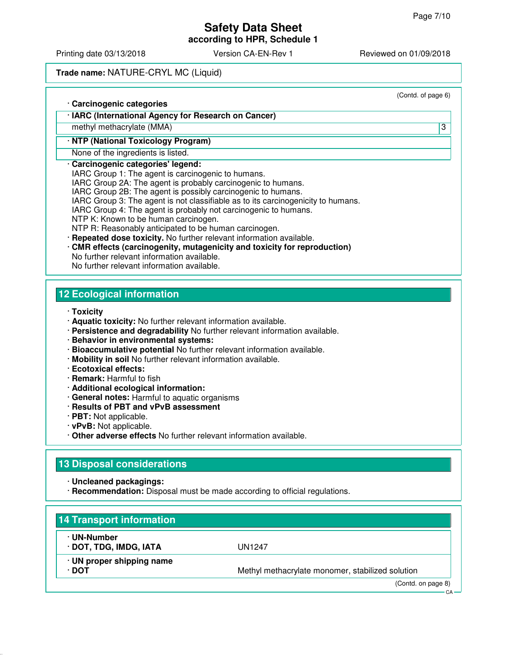## **Safety Data Sheet**

**according to HPR, Schedule 1**

Printing date 03/13/2018 <br>
Version CA-EN-Rev 1 Reviewed on 01/09/2018

#### **Trade name:** NATURE-CRYL MC (Liquid)

|                                                                                  | (Contd. of page 6) |
|----------------------------------------------------------------------------------|--------------------|
| · Carcinogenic categories                                                        |                    |
| · IARC (International Agency for Research on Cancer)                             |                    |
| methyl methacrylate (MMA)                                                        | 3                  |
| · NTP (National Toxicology Program)                                              |                    |
| None of the ingredients is listed.                                               |                    |
| · Carcinogenic categories' legend:                                               |                    |
| IARC Group 1: The agent is carcinogenic to humans.                               |                    |
| IARC Group 2A: The agent is probably carcinogenic to humans.                     |                    |
| IARC Group 2B: The agent is possibly carcinogenic to humans.                     |                    |
| IARC Group 3: The agent is not classifiable as to its carcinogenicity to humans. |                    |
| IARC Group 4: The agent is probably not carcinogenic to humans.                  |                    |
| NTP K: Known to be human carcinogen.                                             |                    |
| NTP R: Reasonably anticipated to be human carcinogen.                            |                    |
| · Repeated dose toxicity. No further relevant information available.             |                    |
| CMR effects (carcinogenity, mutagenicity and toxicity for reproduction)          |                    |
| No further relevant information available.                                       |                    |
| No further relevant information available.                                       |                    |

#### **12 Ecological information**

- · **Toxicity**
- · **Aquatic toxicity:** No further relevant information available.
- · **Persistence and degradability** No further relevant information available.
- · **Behavior in environmental systems:**
- · **Bioaccumulative potential** No further relevant information available.
- · **Mobility in soil** No further relevant information available.
- · **Ecotoxical effects:**
- · **Remark:** Harmful to fish
- · **Additional ecological information:**
- · **General notes:** Harmful to aquatic organisms
- · **Results of PBT and vPvB assessment**
- · **PBT:** Not applicable.
- · **vPvB:** Not applicable.
- · **Other adverse effects** No further relevant information available.

#### **13 Disposal considerations**

· **Uncleaned packagings:**

· **Recommendation:** Disposal must be made according to official regulations.

| · UN-Number               |                                                  |
|---------------------------|--------------------------------------------------|
| · DOT, TDG, IMDG, IATA    | UN1247                                           |
| · UN proper shipping name |                                                  |
| ∙ DOT                     | Methyl methacrylate monomer, stabilized solution |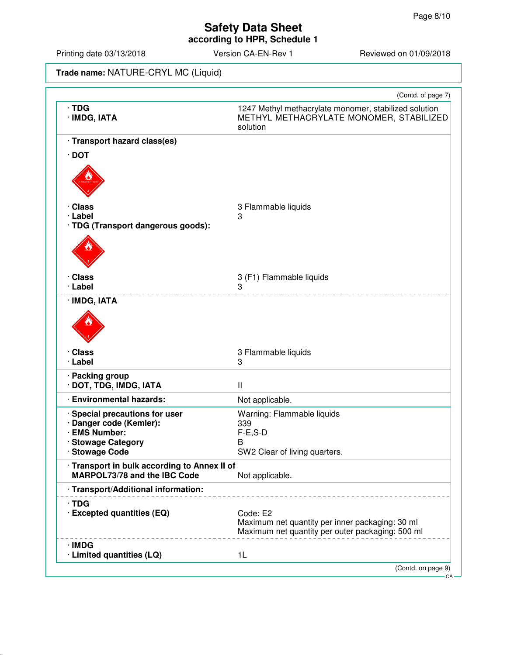## **Safety Data Sheet**

**according to HPR, Schedule 1**

Printing date 03/13/2018 Version CA-EN-Rev 1 Reviewed on 01/09/2018

|  | <b>Trade name:</b> NATURE-CRYL MC (Liquid) |  |
|--|--------------------------------------------|--|
|--|--------------------------------------------|--|

|                                              | (Contd. of page 7)                                                                                              |
|----------------------------------------------|-----------------------------------------------------------------------------------------------------------------|
| $\cdot$ TDG<br>· IMDG, IATA                  | 1247 Methyl methacrylate monomer, stabilized solution<br>METHYL METHACRYLATE MONOMER, STABILIZED<br>solution    |
| · Transport hazard class(es)                 |                                                                                                                 |
| $\cdot$ DOT                                  |                                                                                                                 |
|                                              |                                                                                                                 |
| · Class                                      | 3 Flammable liquids                                                                                             |
| · Label                                      | 3                                                                                                               |
| · TDG (Transport dangerous goods):           |                                                                                                                 |
|                                              |                                                                                                                 |
| · Class                                      | 3 (F1) Flammable liquids                                                                                        |
| · Label                                      | 3                                                                                                               |
| · IMDG, IATA                                 |                                                                                                                 |
| · Class<br>· Label                           | 3 Flammable liquids<br>3                                                                                        |
| · Packing group<br>· DOT, TDG, IMDG, IATA    | $\mathbf{I}$                                                                                                    |
| · Environmental hazards:                     | Not applicable.                                                                                                 |
| · Special precautions for user               | Warning: Flammable liquids                                                                                      |
| · Danger code (Kemler):                      | 339                                                                                                             |
| · EMS Number:<br>· Stowage Category          | $F-E$ , $S-D$<br>В                                                                                              |
| · Stowage Code                               | SW2 Clear of living quarters.                                                                                   |
| · Transport in bulk according to Annex II of |                                                                                                                 |
| <b>MARPOL73/78 and the IBC Code</b>          | Not applicable.                                                                                                 |
| · Transport/Additional information:          |                                                                                                                 |
| $\cdot$ TDG<br>· Excepted quantities (EQ)    | Code: E2<br>Maximum net quantity per inner packaging: 30 ml<br>Maximum net quantity per outer packaging: 500 ml |
| · IMDG<br>· Limited quantities (LQ)          | 1 <sub>L</sub>                                                                                                  |
|                                              | (Contd. on page 9)                                                                                              |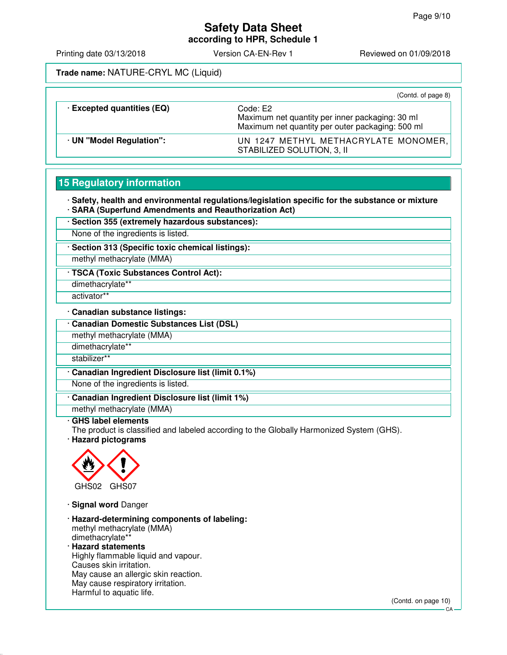# **Safety Data Sheet**

**according to HPR, Schedule 1**

Printing date 03/13/2018 **Version CA-EN-Rev 1** Reviewed on 01/09/2018

**Trade name:** NATURE-CRYL MC (Liquid)

|                                 | (Contd. of page 8)                                                                                              |
|---------------------------------|-----------------------------------------------------------------------------------------------------------------|
| <b>Excepted quantities (EQ)</b> | Code: E2<br>Maximum net quantity per inner packaging: 30 ml<br>Maximum net quantity per outer packaging: 500 ml |
| · UN "Model Regulation":        | UN 1247 METHYL METHACRYLATE MONOMER,<br>STABILIZED SOLUTION, 3, II                                              |

#### **15 Regulatory information**

· **Safety, health and environmental regulations/legislation specific for the substance or mixture** · **SARA (Superfund Amendments and Reauthorization Act)**

· **Section 355 (extremely hazardous substances):**

None of the ingredients is listed.

· **Section 313 (Specific toxic chemical listings):**

methyl methacrylate (MMA)

· **TSCA (Toxic Substances Control Act):**

dimethacrylate\*\*

activator\*\*

· **Canadian substance listings:**

· **Canadian Domestic Substances List (DSL)**

methyl methacrylate (MMA)

dimethacrylate\*\*

stabilizer\*\*

· **Canadian Ingredient Disclosure list (limit 0.1%)**

None of the ingredients is listed.

· **Canadian Ingredient Disclosure list (limit 1%)**

methyl methacrylate (MMA)

#### · **GHS label elements**

The product is classified and labeled according to the Globally Harmonized System (GHS).

· **Hazard pictograms**



· **Signal word** Danger

· **Hazard-determining components of labeling:** methyl methacrylate (MMA) dimethacrylate\*\* · **Hazard statements**

Highly flammable liquid and vapour. Causes skin irritation. May cause an allergic skin reaction. May cause respiratory irritation. Harmful to aquatic life.

(Contd. on page 10)

CA